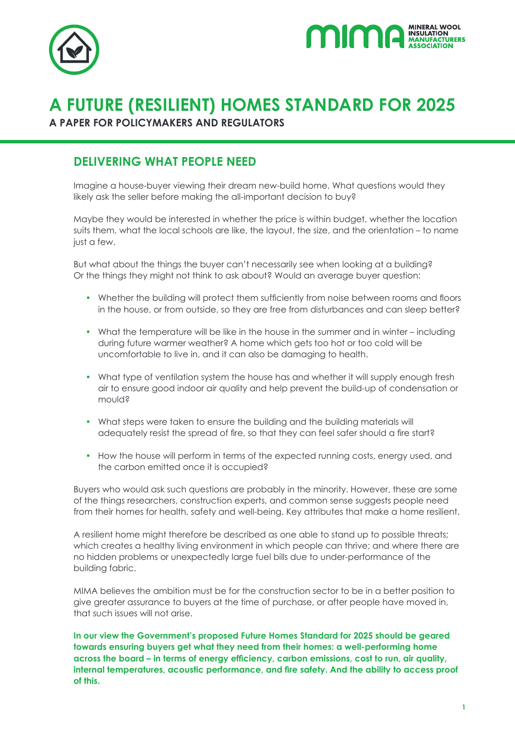



# **A FUTURE (RESILIENT) HOMES STANDARD FOR 2025**

**A PAPER FOR POLICYMAKERS AND REGULATORS**

#### **DELIVERING WHAT PEOPLE NEED**

Imagine a house-buyer viewing their dream new-build home. What questions would they likely ask the seller before making the all-important decision to buy?

Maybe they would be interested in whether the price is within budget, whether the location suits them, what the local schools are like, the layout, the size, and the orientation – to name just a few.

But what about the things the buyer can't necessarily see when looking at a building? Or the things they might not think to ask about? Would an average buyer question:

- Whether the building will protect them sufficiently from noise between rooms and floors in the house, or from outside, so they are free from disturbances and can sleep better?
- What the temperature will be like in the house in the summer and in winter including during future warmer weather? A home which gets too hot or too cold will be uncomfortable to live in, and it can also be damaging to health.
- What type of ventilation system the house has and whether it will supply enough fresh air to ensure good indoor air quality and help prevent the build-up of condensation or mould?
- What steps were taken to ensure the building and the building materials will adequately resist the spread of fire, so that they can feel safer should a fire start?
- How the house will perform in terms of the expected running costs, energy used, and the carbon emitted once it is occupied?

Buyers who would ask such questions are probably in the minority. However, these are some of the things researchers, construction experts, and common sense suggests people need from their homes for health, safety and well-being. Key attributes that make a home resilient.

A resilient home might therefore be described as one able to stand up to possible threats; which creates a healthy living environment in which people can thrive; and where there are no hidden problems or unexpectedly large fuel bills due to under-performance of the building fabric.

MIMA believes the ambition must be for the construction sector to be in a better position to give greater assurance to buyers at the time of purchase, or after people have moved in, that such issues will not arise.

**In our view the Government's proposed Future Homes Standard for 2025 should be geared towards ensuring buyers get what they need from their homes: a well-performing home across the board – in terms of energy efficiency, carbon emissions, cost to run, air quality, internal temperatures, acoustic performance, and fire safety. And the ability to access proof of this.**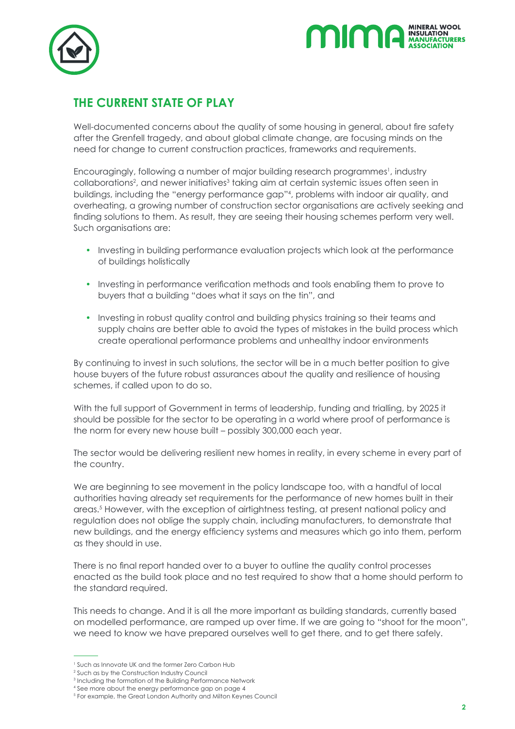



### **THE CURRENT STATE OF PLAY**

Well-documented concerns about the quality of some housing in general, about fire safety after the Grenfell tragedy, and about global climate change, are focusing minds on the need for change to current construction practices, frameworks and requirements.

Encouragingly, following a number of major building research programmes<sup>1</sup>, industry collaborations<sup>2</sup>, and newer initiatives<sup>3</sup> taking aim at certain systemic issues often seen in buildings, including the "energy performance gap"4 , problems with indoor air quality, and overheating, a growing number of construction sector organisations are actively seeking and finding solutions to them. As result, they are seeing their housing schemes perform very well. Such organisations are:

- Investing in building performance evaluation projects which look at the performance of buildings holistically
- Investing in performance verification methods and tools enabling them to prove to buyers that a building "does what it says on the tin", and
- Investing in robust quality control and building physics training so their teams and supply chains are better able to avoid the types of mistakes in the build process which create operational performance problems and unhealthy indoor environments

By continuing to invest in such solutions, the sector will be in a much better position to give house buyers of the future robust assurances about the quality and resilience of housing schemes, if called upon to do so.

With the full support of Government in terms of leadership, funding and trialling, by 2025 it should be possible for the sector to be operating in a world where proof of performance is the norm for every new house built – possibly 300,000 each year.

The sector would be delivering resilient new homes in reality, in every scheme in every part of the country.

We are beginning to see movement in the policy landscape too, with a handful of local authorities having already set requirements for the performance of new homes built in their areas.5 However, with the exception of airtightness testing, at present national policy and regulation does not oblige the supply chain, including manufacturers, to demonstrate that new buildings, and the energy efficiency systems and measures which go into them, perform as they should in use.

There is no final report handed over to a buyer to outline the quality control processes enacted as the build took place and no test required to show that a home should perform to the standard required.

This needs to change. And it is all the more important as building standards, currently based on modelled performance, are ramped up over time. If we are going to "shoot for the moon", we need to know we have prepared ourselves well to get there, and to get there safely.

<sup>1</sup> Such as Innovate UK and the former Zero Carbon Hub

<sup>2</sup> Such as by the Construction Industry Council

<sup>3</sup> Including the formation of the Building Performance Network

<sup>4</sup> See more about the energy performance gap on page 4

<sup>5</sup> For example, the Great London Authority and Milton Keynes Council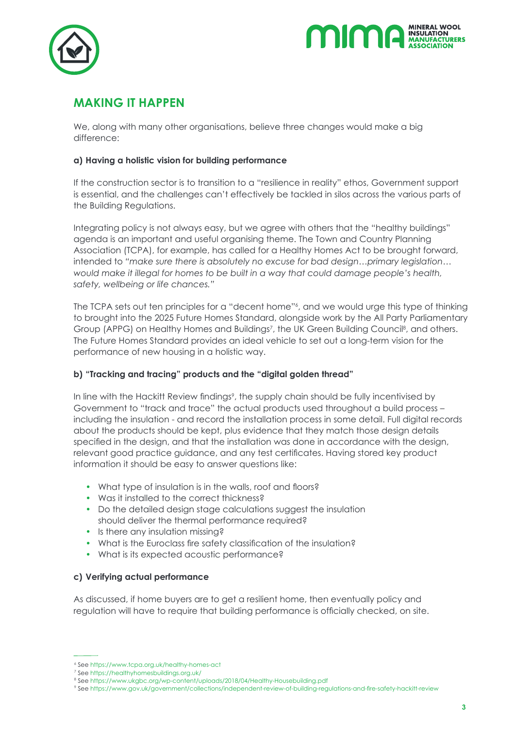



### **MAKING IT HAPPEN**

We, along with many other organisations, believe three changes would make a big difference:

#### **a) Having a holistic vision for building performance**

If the construction sector is to transition to a "resilience in reality" ethos, Government support is essential, and the challenges can't effectively be tackled in silos across the various parts of the Building Regulations.

Integrating policy is not always easy, but we agree with others that the "healthy buildings" agenda is an important and useful organising theme. The Town and Country Planning Association (TCPA), for example, has called for a Healthy Homes Act to be brought forward, intended to *"make sure there is absolutely no excuse for bad design…primary legislation… would make it illegal for homes to be built in a way that could damage people's health, safety, wellbeing or life chances."*

The TCPA sets out ten principles for a "decent home"<sup>6</sup>, and we would urge this type of thinking to brought into the 2025 Future Homes Standard, alongside work by the All Party Parliamentary Group (APPG) on Healthy Homes and Buildings<sup>7</sup>, the UK Green Building Council<sup>8</sup>, and others. The Future Homes Standard provides an ideal vehicle to set out a long-term vision for the performance of new housing in a holistic way.

#### **b) "Tracking and tracing" products and the "digital golden thread"**

In line with the Hackitt Review findings<sup>9</sup>, the supply chain should be fully incentivised by Government to "track and trace" the actual products used throughout a build process – including the insulation - and record the installation process in some detail. Full digital records about the products should be kept, plus evidence that they match those design details specified in the design, and that the installation was done in accordance with the design, relevant good practice guidance, and any test certificates. Having stored key product information it should be easy to answer questions like:

- What type of insulation is in the walls, roof and floors?
- Was it installed to the correct thickness?
- Do the detailed design stage calculations suggest the insulation should deliver the thermal performance required?
- Is there any insulation missing?
- What is the Euroclass fire safety classification of the insulation?
- What is its expected acoustic performance?

#### **c) Verifying actual performance**

As discussed, if home buyers are to get a resilient home, then eventually policy and regulation will have to require that building performance is officially checked, on site.

<sup>6</sup> See https://www.tcpa.org.uk/healthy-homes-act 7

<sup>&</sup>lt;sup>7</sup> See https://healthyhomesbuildings.org.uk/

<sup>&</sup>lt;sup>8</sup> See https://www.ukgbc.org/wp-content/uploads/2018/04/Healthy-Housebuilding.pdf

See https://www.gov.uk/government/collections/independent-review-of-building-regulations-and-fire-safety-hackitt-review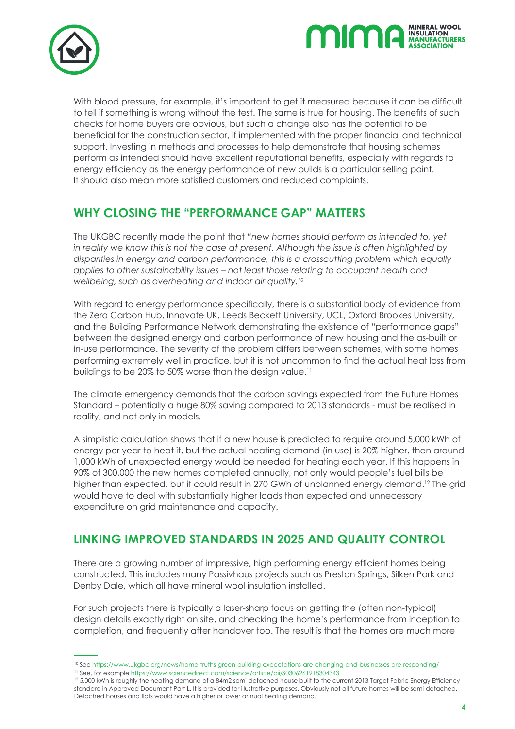



With blood pressure, for example, it's important to get it measured because it can be difficult to tell if something is wrong without the test. The same is true for housing. The benefits of such checks for home buyers are obvious, but such a change also has the potential to be beneficial for the construction sector, if implemented with the proper financial and technical support. Investing in methods and processes to help demonstrate that housing schemes perform as intended should have excellent reputational benefits, especially with regards to energy efficiency as the energy performance of new builds is a particular selling point. It should also mean more satisfied customers and reduced complaints.

#### **WHY CLOSING THE "PERFORMANCE GAP" MATTERS**

The UKGBC recently made the point that *"new homes should perform as intended to, yet in reality we know this is not the case at present. Although the issue is often highlighted by disparities in energy and carbon performance, this is a crosscutting problem which equally applies to other sustainability issues – not least those relating to occupant health and wellbeing, such as overheating and indoor air quality.10*

With regard to energy performance specifically, there is a substantial body of evidence from the Zero Carbon Hub, Innovate UK, Leeds Beckett University, UCL, Oxford Brookes University, and the Building Performance Network demonstrating the existence of "performance gaps" between the designed energy and carbon performance of new housing and the as-built or in-use performance. The severity of the problem differs between schemes, with some homes performing extremely well in practice, but it is not uncommon to find the actual heat loss from buildings to be 20% to 50% worse than the design value.<sup>11</sup>

The climate emergency demands that the carbon savings expected from the Future Homes Standard – potentially a huge 80% saving compared to 2013 standards - must be realised in reality, and not only in models.

A simplistic calculation shows that if a new house is predicted to require around 5,000 kWh of energy per year to heat it, but the actual heating demand (in use) is 20% higher, then around 1,000 kWh of unexpected energy would be needed for heating each year. If this happens in 90% of 300,000 the new homes completed annually, not only would people's fuel bills be higher than expected, but it could result in 270 GWh of unplanned energy demand.<sup>12</sup> The grid would have to deal with substantially higher loads than expected and unnecessary expenditure on grid maintenance and capacity.

### **LINKING IMPROVED STANDARDS IN 2025 AND QUALITY CONTROL**

There are a growing number of impressive, high performing energy efficient homes being constructed. This includes many Passivhaus projects such as Preston Springs, Silken Park and Denby Dale, which all have mineral wool insulation installed.

For such projects there is typically a laser-sharp focus on getting the (often non-typical) design details exactly right on site, and checking the home's performance from inception to completion, and frequently after handover too. The result is that the homes are much more

<sup>&</sup>lt;sup>10</sup> See https://www.ukgbc.org/news/home-truths-green-building-expectations-are-changing-and-businesses-are-responding/<br><sup>11</sup> See, for example https://www.sciencedirect.com/science/article/pii/\$0306261918304343<br><sup>12</sup> 5,000 k

standard in Approved Document Part L. It is provided for illustrative purposes. Obviously not all future homes will be semi-detached. Detached houses and flats would have a higher or lower annual heating demand.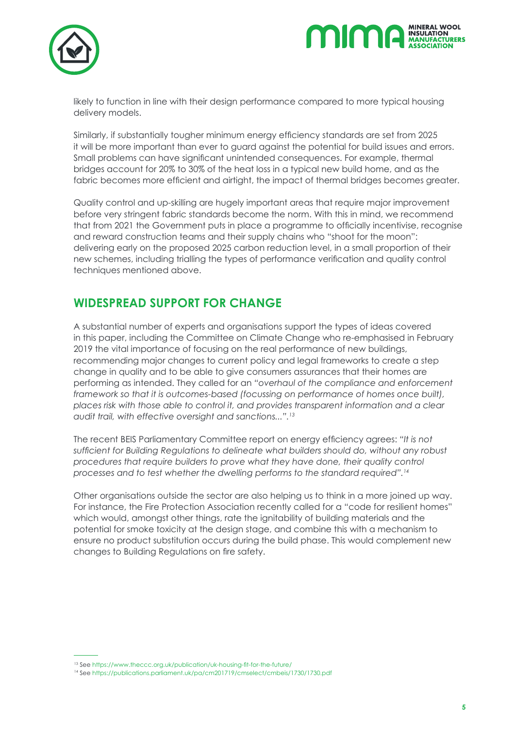



likely to function in line with their design performance compared to more typical housing delivery models.

Similarly, if substantially tougher minimum energy efficiency standards are set from 2025 it will be more important than ever to guard against the potential for build issues and errors. Small problems can have significant unintended consequences. For example, thermal bridges account for 20% to 30% of the heat loss in a typical new build home, and as the fabric becomes more efficient and airtight, the impact of thermal bridges becomes greater.

Quality control and up-skilling are hugely important areas that require major improvement before very stringent fabric standards become the norm. With this in mind, we recommend that from 2021 the Government puts in place a programme to officially incentivise, recognise and reward construction teams and their supply chains who "shoot for the moon": delivering early on the proposed 2025 carbon reduction level, in a small proportion of their new schemes, including trialling the types of performance verification and quality control techniques mentioned above.

#### **WIDESPREAD SUPPORT FOR CHANGE**

A substantial number of experts and organisations support the types of ideas covered in this paper, including the Committee on Climate Change who re-emphasised in February 2019 the vital importance of focusing on the real performance of new buildings, recommending major changes to current policy and legal frameworks to create a step change in quality and to be able to give consumers assurances that their homes are performing as intended. They called for an *"overhaul of the compliance and enforcement framework so that it is outcomes-based (focussing on performance of homes once built), places risk with those able to control it, and provides transparent information and a clear audit trail, with effective oversight and sanctions...".13*

The recent BEIS Parliamentary Committee report on energy efficiency agrees: *"It is not sufficient for Building Regulations to delineate what builders should do, without any robust procedures that require builders to prove what they have done, their quality control processes and to test whether the dwelling performs to the standard required".14*

Other organisations outside the sector are also helping us to think in a more joined up way. For instance, the Fire Protection Association recently called for a "code for resilient homes" which would, amongst other things, rate the ignitability of building materials and the potential for smoke toxicity at the design stage, and combine this with a mechanism to ensure no product substitution occurs during the build phase. This would complement new changes to Building Regulations on fire safety.

<sup>13</sup> See https://www.theccc.org.uk/publication/uk-housing-fit-for-the-future/

<sup>14</sup> See https://publications.parliament.uk/pa/cm201719/cmselect/cmbeis/1730/1730.pdf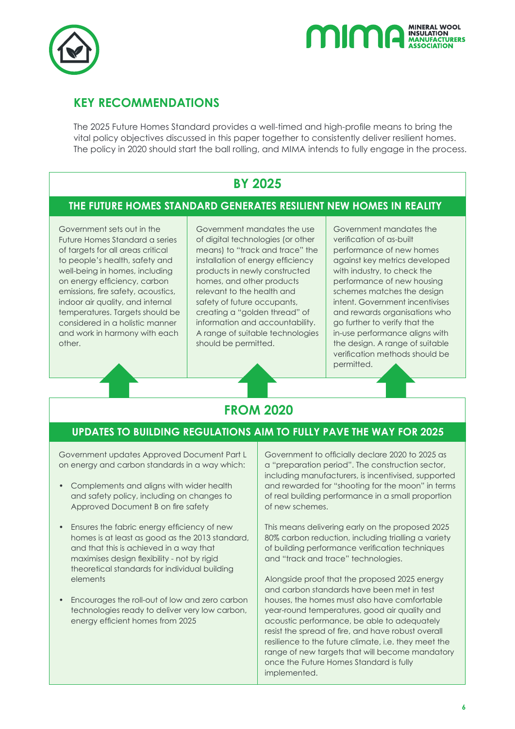



#### **KEY RECOMMENDATIONS**

The 2025 Future Homes Standard provides a well-timed and high-profile means to bring the vital policy objectives discussed in this paper together to consistently deliver resilient homes. The policy in 2020 should start the ball rolling, and MIMA intends to fully engage in the process.

#### **BY 2025**

#### **THE FUTURE HOMES STANDARD GENERATES RESILIENT NEW HOMES IN REALITY**

Government sets out in the Future Homes Standard a series of targets for all areas critical to people's health, safety and well-being in homes, including on energy efficiency, carbon emissions, fire safety, acoustics, indoor air quality, and internal temperatures. Targets should be considered in a holistic manner and work in harmony with each other.

Government mandates the use of digital technologies (or other means) to "track and trace" the installation of energy efficiency products in newly constructed homes, and other products relevant to the health and safety of future occupants, creating a "golden thread" of information and accountability. A range of suitable technologies should be permitted.

Government mandates the verification of as-built performance of new homes against key metrics developed with industry, to check the performance of new housing schemes matches the design intent. Government incentivises and rewards organisations who go further to verify that the in-use performance aligns with the design. A range of suitable verification methods should be permitted.

## **FROM 2020**

#### **UPDATES TO BUILDING REGULATIONS AIM TO FULLY PAVE THE WAY FOR 2025**

Government updates Approved Document Part L on energy and carbon standards in a way which:

- Complements and aligns with wider health and safety policy, including on changes to Approved Document B on fire safety
- Ensures the fabric energy efficiency of new homes is at least as good as the 2013 standard, and that this is achieved in a way that maximises design flexibility - not by rigid theoretical standards for individual building elements
- Encourages the roll-out of low and zero carbon technologies ready to deliver very low carbon, energy efficient homes from 2025

Government to officially declare 2020 to 2025 as a "preparation period". The construction sector, including manufacturers, is incentivised, supported and rewarded for "shooting for the moon" in terms of real building performance in a small proportion of new schemes.

This means delivering early on the proposed 2025 80% carbon reduction, including trialling a variety of building performance verification techniques and "track and trace" technologies.

Alongside proof that the proposed 2025 energy and carbon standards have been met in test houses, the homes must also have comfortable year-round temperatures, good air quality and acoustic performance, be able to adequately resist the spread of fire, and have robust overall resilience to the future climate, i.e. they meet the range of new targets that will become mandatory once the Future Homes Standard is fully implemented.